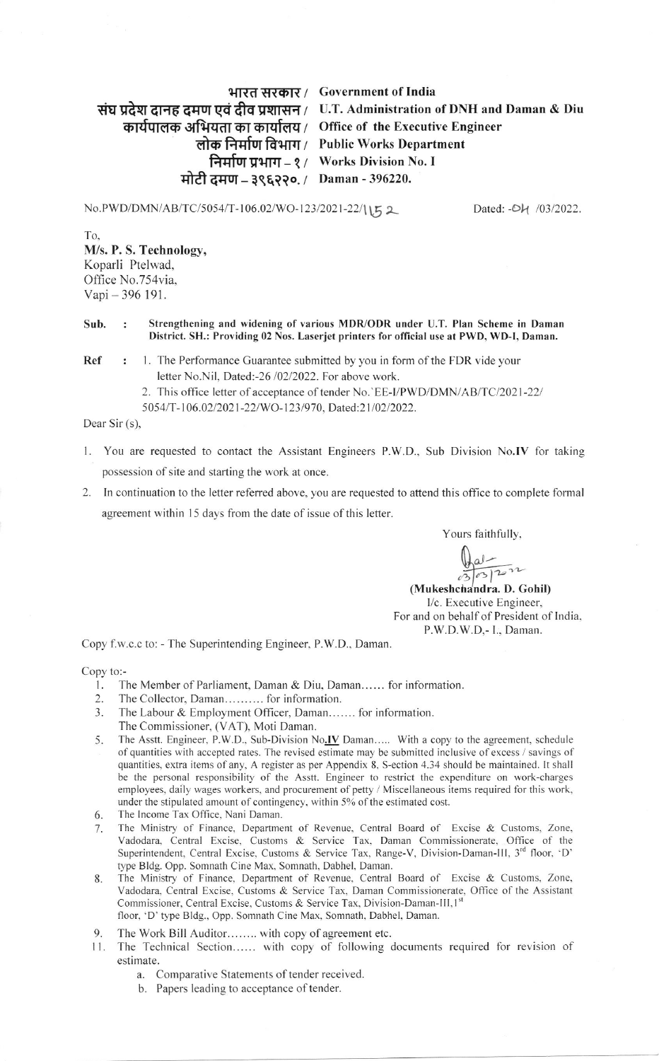## भारत सरकार / Government of India संघ प्रदेश दानह दमण एवं दीव प्रशासन / U.T. Administration of DNH and Daman & Diu कार्यपालक अभियता का कार्यालय / Office of the Executive Engineer लोक निर्माण विभाग / Public Works Department निर्माण प्रभाग – १ / Works Division No. I मोटी दमण – ३९६२२०. / Daman - 396220.

No. PWD/DMN/AB/TC/5054/T-106.02/WO-123/2021-22/1152 Dated: -Ok 103/2022.

To. M/s. P. S. Technology, Koparli Ptelwad, Office No.754via. Vapi - 396 191.

## Sub. Strengthening and widening of yarious MDR/ODR under U.T. Plan Scheme in Daman District. SH.: Providing 02 Nos. Laserjet printers for official use at PWD, WD-I, Daman.

**Ref :** 1. The Performance Guarantee submitted by you in form of the FDR vide your letter No.Nil, Dated:-26 /02/2022. For above work.

2. This office letter of acceptance of tender No. EE-I/PWD/DMN/AB/TC/2021-22/

5054/T-106.02/2021-22/WO-123/970, Dated:21/02/2022.

Dear Sir (s),

- l. You are requested to contact the Assistant Engineers P.W.D., Sub Division No.IV for taking possession of site and starting the work at once.
- 2. In continuation to the letter referred above, you are requested to attend this office to complete formal agreement within 15 days from the date of issue of this letter.

Yours faithfully,

 $\frac{Q_{al}}{8}$ 

(Mukeshchandra. D. Gohil) l/c. Executive Engineer, For and on behalf of President of lndia. P.W.D.W.D.- L. Daman.

Copy f.w.c.c to: - The Superintending Engineer, P.W.D., Daman

copy to:-

- l. The Member of Parliament, Daman & Diu, Daman...... for information.
- 2. The Collector, Daman...... .... for information.
- 3. The Labour & Employment Officer, Daman....... for information. The Commissioner, (VAT), Moti Daman.
- 5. The Asstt. Engineer, P.W.D., Sub-Division No.IV Daman..... With a copy to the agreement, schedule of quantities with accepted rates. The revised estimate may be submitted inclusive of excess / savings of quantities, extra items ofany. A register as per Appendix 8. S-ection 4.34 should be naintained. lt shall be the personal responsibility of the Asstt. Engineer to restrict the expenditure on work-charges employees, daily wages workers, and procurement of petty / Miscellaneous items required for this work, under the stipulated amount of contingency, within 5% of the estimated cost.
- The lncome Tax Office. Nani Daman. 6
- The Ministry of Finance. Department of Revenue. Central Board of Excise & Customs, Zone, Vadodara, Central Excise. Customs & Seryice Tax. Daman Commissionerate, Office of the Superintendent, Central Excise, Customs & Service Tax, Range-V, Division-Daman-III, 3<sup>rd</sup> floor, 'D' type Bldg. Opp. Somnath Cine Max. Somnath, Dabhel, Daman. 1
- The Ministry of Finance, Department of Revenue. Central Board of Excise & Customs. Zone. Vadodara. Central Excise. Customs & Service Tax. Daman Commissionerate. Office of the Assistant Commissioner, Central Excise, Customs & Service Tax, Division-Daman-III, 1st floor, 'D' type Bldg., Opp. Somnath Cine Max, Somnath, Dabhel, Daman. 8.
- The Work Bill Auditor........ with copy of agreement etc. 9
- 11. The Technical Section...... with copy of following documents required for revision of estimate.
	- a. Comparative Statements of tender received.
	- b. Papers leading to acceptance of tender.